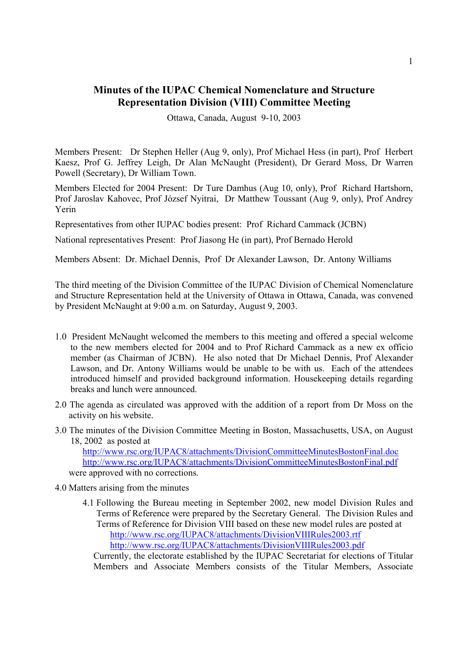# **Minutes of the IUPAC Chemical Nomenclature and Structure Representation Division (VIII) Committee Meeting**

Ottawa, Canada, August 9-10, 2003

Members Present: Dr Stephen Heller (Aug 9, only), Prof Michael Hess (in part), Prof Herbert Kaesz, Prof G. Jeffrey Leigh, Dr Alan McNaught (President), Dr Gerard Moss, Dr Warren Powell (Secretary), Dr William Town.

Members Elected for 2004 Present: Dr Ture Damhus (Aug 10, only), Prof Richard Hartshorn, Prof Jaroslav Kahovec, Prof József Nyitrai, Dr Matthew Toussant (Aug 9, only), Prof Andrey Yerin

Representatives from other IUPAC bodies present: Prof Richard Cammack (JCBN)

National representatives Present: Prof Jiasong He (in part), Prof Bernado Herold

Members Absent: Dr. Michael Dennis, Prof Dr Alexander Lawson, Dr. Antony Williams

The third meeting of the Division Committee of the IUPAC Division of Chemical Nomenclature and Structure Representation held at the University of Ottawa in Ottawa, Canada, was convened by President McNaught at 9:00 a.m. on Saturday, August 9, 2003.

- 1.0 President McNaught welcomed the members to this meeting and offered a special welcome to the new members elected for 2004 and to Prof Richard Cammack as a new ex officio member (as Chairman of JCBN). He also noted that Dr Michael Dennis, Prof Alexander Lawson, and Dr. Antony Williams would be unable to be with us. Each of the attendees introduced himself and provided background information. Housekeeping details regarding breaks and lunch were announced.
- 2.0 The agenda as circulated was approved with the addition of a report from Dr Moss on the activity on his website.
- 3.0 The minutes of the Division Committee Meeting in Boston, Massachusetts, USA, on August 18, 2002 as posted at

<http://www.rsc.org/IUPAC8/attachments/DivisionCommitteeMinutesBostonFinal.doc> <http://www.rsc.org/IUPAC8/attachments/DivisionCommitteeMinutesBostonFinal.pdf> were approved with no corrections.

- 4.0 Matters arising from the minutes
	- 4.1 Following the Bureau meeting in September 2002, new model Division Rules and Terms of Reference were prepared by the Secretary General. The Division Rules and Terms of Reference for Division VIII based on these new model rules are posted at <http://www.rsc.org/IUPAC8/attachments/DivisionVIIIRules2003.rtf> <http://www.rsc.org/IUPAC8/attachments/DivisionVIIIRules2003.pdf>

Currently, the electorate established by the IUPAC Secretariat for elections of Titular Members and Associate Members consists of the Titular Members, Associate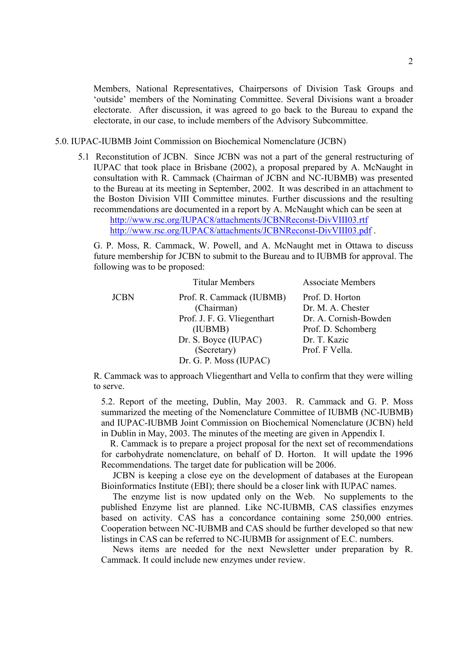Members, National Representatives, Chairpersons of Division Task Groups and 'outside' members of the Nominating Committee. Several Divisions want a broader electorate. After discussion, it was agreed to go back to the Bureau to expand the electorate, in our case, to include members of the Advisory Subcommittee.

## 5.0. IUPAC-IUBMB Joint Commission on Biochemical Nomenclature (JCBN)

5.1 Reconstitution of JCBN. Since JCBN was not a part of the general restructuring of IUPAC that took place in Brisbane (2002), a proposal prepared by A. McNaught in consultation with R. Cammack (Chairman of JCBN and NC-IUBMB) was presented to the Bureau at its meeting in September, 2002. It was described in an attachment to the Boston Division VIII Committee minutes. Further discussions and the resulting recommendations are documented in a report by A. McNaught which can be seen at <http://www.rsc.org/IUPAC8/attachments/JCBNReconst-DivVIII03.rtf>

<http://www.rsc.org/IUPAC8/attachments/JCBNReconst-DivVIII03.pdf> .

G. P. Moss, R. Cammack, W. Powell, and A. McNaught met in Ottawa to discuss future membership for JCBN to submit to the Bureau and to IUBMB for approval. The following was to be proposed:

|             | <b>Titular Members</b>      | <b>Associate Members</b> |
|-------------|-----------------------------|--------------------------|
| <b>JCBN</b> | Prof. R. Cammack (IUBMB)    | Prof. D. Horton          |
|             | (Chairman)                  | Dr. M. A. Chester        |
|             | Prof. J. F. G. Vliegenthart | Dr. A. Cornish-Bowden    |
|             | (IUBMB)                     | Prof. D. Schomberg       |
|             | Dr. S. Boyce (IUPAC)        | Dr. T. Kazic             |
|             | (Secretary)                 | Prof. F Vella.           |
|             | Dr. G. P. Moss (IUPAC)      |                          |

R. Cammack was to approach Vliegenthart and Vella to confirm that they were willing to serve.

 5.2. Report of the meeting, Dublin, May 2003. R. Cammack and G. P. Moss summarized the meeting of the Nomenclature Committee of IUBMB (NC-IUBMB) and IUPAC-IUBMB Joint Commission on Biochemical Nomenclature (JCBN) held in Dublin in May, 2003. The minutes of the meeting are given in Appendix I.

 R. Cammack is to prepare a project proposal for the next set of recommendations for carbohydrate nomenclature, on behalf of D. Horton. It will update the 1996 Recommendations. The target date for publication will be 2006.

 JCBN is keeping a close eye on the development of databases at the European Bioinformatics Institute (EBI); there should be a closer link with IUPAC names.

 The enzyme list is now updated only on the Web. No supplements to the published Enzyme list are planned. Like NC-IUBMB, CAS classifies enzymes based on activity. CAS has a concordance containing some 250,000 entries. Cooperation between NC-IUBMB and CAS should be further developed so that new listings in CAS can be referred to NC-IUBMB for assignment of E.C. numbers.

 News items are needed for the next Newsletter under preparation by R. Cammack. It could include new enzymes under review.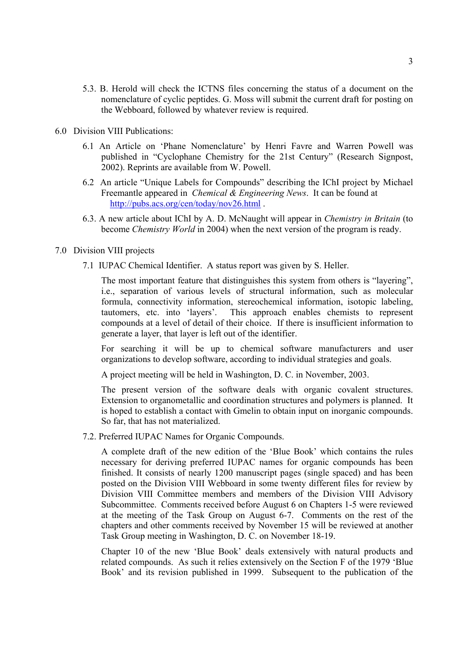- 5.3. B. Herold will check the ICTNS files concerning the status of a document on the nomenclature of cyclic peptides. G. Moss will submit the current draft for posting on the Webboard, followed by whatever review is required.
- 6.0 Division VIII Publications:
	- 6.1 An Article on 'Phane Nomenclature' by Henri Favre and Warren Powell was published in "Cyclophane Chemistry for the 21st Century" (Research Signpost, 2002). Reprints are available from W. Powell.
	- 6.2 An article "Unique Labels for Compounds" describing the IChI project by Michael Freemantle appeared in *Chemical & Engineering News*. It can be found at <http://pubs.acs.org/cen/today/nov26.html> .
	- 6.3. A new article about IChI by A. D. McNaught will appear in *Chemistry in Britain* (to become *Chemistry World* in 2004) when the next version of the program is ready.

## 7.0 Division VIII projects

7.1 IUPAC Chemical Identifier. A status report was given by S. Heller.

The most important feature that distinguishes this system from others is "layering", i.e., separation of various levels of structural information, such as molecular formula, connectivity information, stereochemical information, isotopic labeling, tautomers, etc. into 'layers'. This approach enables chemists to represent compounds at a level of detail of their choice. If there is insufficient information to generate a layer, that layer is left out of the identifier.

For searching it will be up to chemical software manufacturers and user organizations to develop software, according to individual strategies and goals.

A project meeting will be held in Washington, D. C. in November, 2003.

The present version of the software deals with organic covalent structures. Extension to organometallic and coordination structures and polymers is planned. It is hoped to establish a contact with Gmelin to obtain input on inorganic compounds. So far, that has not materialized.

7.2. Preferred IUPAC Names for Organic Compounds.

A complete draft of the new edition of the 'Blue Book' which contains the rules necessary for deriving preferred IUPAC names for organic compounds has been finished. It consists of nearly 1200 manuscript pages (single spaced) and has been posted on the Division VIII Webboard in some twenty different files for review by Division VIII Committee members and members of the Division VIII Advisory Subcommittee. Comments received before August 6 on Chapters 1-5 were reviewed at the meeting of the Task Group on August 6-7. Comments on the rest of the chapters and other comments received by November 15 will be reviewed at another Task Group meeting in Washington, D. C. on November 18-19.

Chapter 10 of the new 'Blue Book' deals extensively with natural products and related compounds. As such it relies extensively on the Section F of the 1979 'Blue Book' and its revision published in 1999. Subsequent to the publication of the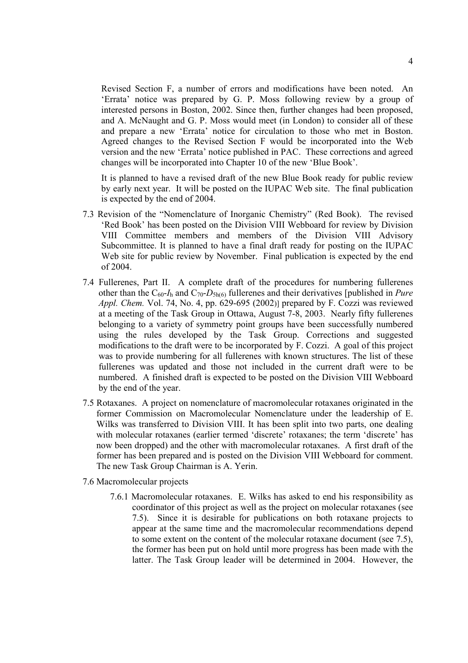Revised Section F, a number of errors and modifications have been noted. An 'Errata' notice was prepared by G. P. Moss following review by a group of interested persons in Boston, 2002. Since then, further changes had been proposed, and A. McNaught and G. P. Moss would meet (in London) to consider all of these and prepare a new 'Errata' notice for circulation to those who met in Boston. Agreed changes to the Revised Section F would be incorporated into the Web version and the new 'Errata' notice published in PAC. These corrections and agreed changes will be incorporated into Chapter 10 of the new 'Blue Book'.

It is planned to have a revised draft of the new Blue Book ready for public review by early next year. It will be posted on the IUPAC Web site. The final publication is expected by the end of 2004.

- 7.3 Revision of the "Nomenclature of Inorganic Chemistry" (Red Book). The revised 'Red Book' has been posted on the Division VIII Webboard for review by Division VIII Committee members and members of the Division VIII Advisory Subcommittee. It is planned to have a final draft ready for posting on the IUPAC Web site for public review by November. Final publication is expected by the end of 2004.
- 7.4 Fullerenes, Part II. A complete draft of the procedures for numbering fullerenes other than the  $C_{60}I_h$  and  $C_{70}I_{5h(6)}$  fullerenes and their derivatives [published in *Pure Appl. Chem.* Vol. 74, No. 4, pp. 629-695 (2002)] prepared by F. Cozzi was reviewed at a meeting of the Task Group in Ottawa, August 7-8, 2003. Nearly fifty fullerenes belonging to a variety of symmetry point groups have been successfully numbered using the rules developed by the Task Group. Corrections and suggested modifications to the draft were to be incorporated by F. Cozzi. A goal of this project was to provide numbering for all fullerenes with known structures. The list of these fullerenes was updated and those not included in the current draft were to be numbered. A finished draft is expected to be posted on the Division VIII Webboard by the end of the year.
- 7.5 Rotaxanes. A project on nomenclature of macromolecular rotaxanes originated in the former Commission on Macromolecular Nomenclature under the leadership of E. Wilks was transferred to Division VIII. It has been split into two parts, one dealing with molecular rotaxanes (earlier termed 'discrete' rotaxanes; the term 'discrete' has now been dropped) and the other with macromolecular rotaxanes. A first draft of the former has been prepared and is posted on the Division VIII Webboard for comment. The new Task Group Chairman is A. Yerin.
- 7.6 Macromolecular projects
	- 7.6.1 Macromolecular rotaxanes. E. Wilks has asked to end his responsibility as coordinator of this project as well as the project on molecular rotaxanes (see 7.5). Since it is desirable for publications on both rotaxane projects to appear at the same time and the macromolecular recommendations depend to some extent on the content of the molecular rotaxane document (see 7.5), the former has been put on hold until more progress has been made with the latter. The Task Group leader will be determined in 2004. However, the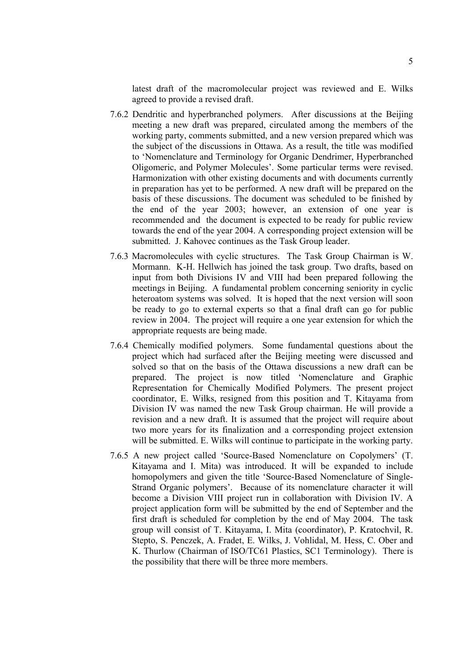latest draft of the macromolecular project was reviewed and E. Wilks agreed to provide a revised draft.

- 7.6.2 Dendritic and hyperbranched polymers. After discussions at the Beijing meeting a new draft was prepared, circulated among the members of the working party, comments submitted, and a new version prepared which was the subject of the discussions in Ottawa. As a result, the title was modified to 'Nomenclature and Terminology for Organic Dendrimer, Hyperbranched Oligomeric, and Polymer Molecules'. Some particular terms were revised. Harmonization with other existing documents and with documents currently in preparation has yet to be performed. A new draft will be prepared on the basis of these discussions. The document was scheduled to be finished by the end of the year 2003; however, an extension of one year is recommended and the document is expected to be ready for public review towards the end of the year 2004. A corresponding project extension will be submitted. J. Kahovec continues as the Task Group leader.
- 7.6.3 Macromolecules with cyclic structures. The Task Group Chairman is W. Mormann. K-H. Hellwich has joined the task group. Two drafts, based on input from both Divisions IV and VIII had been prepared following the meetings in Beijing. A fundamental problem concerning seniority in cyclic heteroatom systems was solved. It is hoped that the next version will soon be ready to go to external experts so that a final draft can go for public review in 2004. The project will require a one year extension for which the appropriate requests are being made.
- 7.6.4 Chemically modified polymers. Some fundamental questions about the project which had surfaced after the Beijing meeting were discussed and solved so that on the basis of the Ottawa discussions a new draft can be prepared. The project is now titled 'Nomenclature and Graphic Representation for Chemically Modified Polymers. The present project coordinator, E. Wilks, resigned from this position and T. Kitayama from Division IV was named the new Task Group chairman. He will provide a revision and a new draft. It is assumed that the project will require about two more years for its finalization and a corresponding project extension will be submitted. E. Wilks will continue to participate in the working party.
- 7.6.5 A new project called 'Source-Based Nomenclature on Copolymers' (T. Kitayama and I. Mita) was introduced. It will be expanded to include homopolymers and given the title 'Source-Based Nomenclature of Single-Strand Organic polymers'. Because of its nomenclature character it will become a Division VIII project run in collaboration with Division IV. A project application form will be submitted by the end of September and the first draft is scheduled for completion by the end of May 2004. The task group will consist of T. Kitayama, I. Mita (coordinator), P. Kratochvil, R. Stepto, S. Penczek, A. Fradet, E. Wilks, J. Vohlidal, M. Hess, C. Ober and K. Thurlow (Chairman of ISO/TC61 Plastics, SC1 Terminology). There is the possibility that there will be three more members.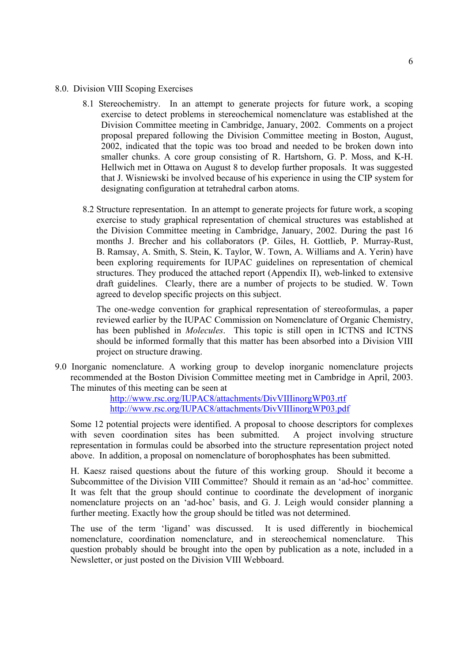- 8.0. Division VIII Scoping Exercises
	- 8.1 Stereochemistry. In an attempt to generate projects for future work, a scoping exercise to detect problems in stereochemical nomenclature was established at the Division Committee meeting in Cambridge, January, 2002. Comments on a project proposal prepared following the Division Committee meeting in Boston, August, 2002, indicated that the topic was too broad and needed to be broken down into smaller chunks. A core group consisting of R. Hartshorn, G. P. Moss, and K-H. Hellwich met in Ottawa on August 8 to develop further proposals. It was suggested that J. Wisniewski be involved because of his experience in using the CIP system for designating configuration at tetrahedral carbon atoms.
	- 8.2 Structure representation. In an attempt to generate projects for future work, a scoping exercise to study graphical representation of chemical structures was established at the Division Committee meeting in Cambridge, January, 2002. During the past 16 months J. Brecher and his collaborators (P. Giles, H. Gottlieb, P. Murray-Rust, B. Ramsay, A. Smith, S. Stein, K. Taylor, W. Town, A. Williams and A. Yerin) have been exploring requirements for IUPAC guidelines on representation of chemical structures. They produced the attached report (Appendix II), web-linked to extensive draft guidelines. Clearly, there are a number of projects to be studied. W. Town agreed to develop specific projects on this subject.

The one-wedge convention for graphical representation of stereoformulas, a paper reviewed earlier by the IUPAC Commission on Nomenclature of Organic Chemistry, has been published in *Molecules*. This topic is still open in ICTNS and ICTNS should be informed formally that this matter has been absorbed into a Division VIII project on structure drawing.

9.0 Inorganic nomenclature. A working group to develop inorganic nomenclature projects recommended at the Boston Division Committee meeting met in Cambridge in April, 2003. The minutes of this meeting can be seen at

> <http://www.rsc.org/IUPAC8/attachments/DivVIIIinorgWP03.rtf> <http://www.rsc.org/IUPAC8/attachments/DivVIIIinorgWP03.pdf>

Some 12 potential projects were identified. A proposal to choose descriptors for complexes with seven coordination sites has been submitted. A project involving structure representation in formulas could be absorbed into the structure representation project noted above. In addition, a proposal on nomenclature of borophosphates has been submitted.

H. Kaesz raised questions about the future of this working group. Should it become a Subcommittee of the Division VIII Committee? Should it remain as an 'ad-hoc' committee. It was felt that the group should continue to coordinate the development of inorganic nomenclature projects on an 'ad-hoc' basis, and G. J. Leigh would consider planning a further meeting. Exactly how the group should be titled was not determined.

The use of the term 'ligand' was discussed. It is used differently in biochemical nomenclature, coordination nomenclature, and in stereochemical nomenclature. This question probably should be brought into the open by publication as a note, included in a Newsletter, or just posted on the Division VIII Webboard.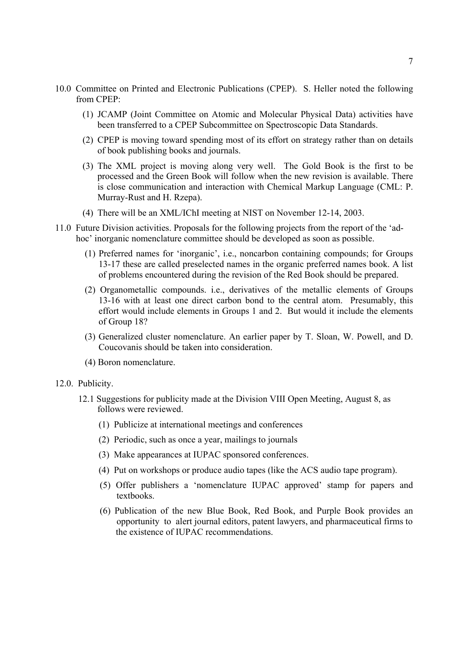- 10.0 Committee on Printed and Electronic Publications (CPEP). S. Heller noted the following from CPEP:
	- (1) JCAMP (Joint Committee on Atomic and Molecular Physical Data) activities have been transferred to a CPEP Subcommittee on Spectroscopic Data Standards.
	- (2) CPEP is moving toward spending most of its effort on strategy rather than on details of book publishing books and journals.
	- (3) The XML project is moving along very well. The Gold Book is the first to be processed and the Green Book will follow when the new revision is available. There is close communication and interaction with Chemical Markup Language (CML: P. Murray-Rust and H. Rzepa).
	- (4) There will be an XML/IChI meeting at NIST on November 12-14, 2003.
- 11.0 Future Division activities. Proposals for the following projects from the report of the 'adhoc' inorganic nomenclature committee should be developed as soon as possible.
	- (1) Preferred names for 'inorganic', i.e., noncarbon containing compounds; for Groups 13-17 these are called preselected names in the organic preferred names book. A list of problems encountered during the revision of the Red Book should be prepared.
	- (2) Organometallic compounds. i.e., derivatives of the metallic elements of Groups 13-16 with at least one direct carbon bond to the central atom. Presumably, this effort would include elements in Groups 1 and 2. But would it include the elements of Group 18?
	- (3) Generalized cluster nomenclature. An earlier paper by T. Sloan, W. Powell, and D. Coucovanis should be taken into consideration.
	- (4) Boron nomenclature.

## 12.0. Publicity.

- 12.1 Suggestions for publicity made at the Division VIII Open Meeting, August 8, as follows were reviewed.
	- (1) Publicize at international meetings and conferences
	- (2) Periodic, such as once a year, mailings to journals
	- (3) Make appearances at IUPAC sponsored conferences.
	- (4) Put on workshops or produce audio tapes (like the ACS audio tape program).
	- (5) Offer publishers a 'nomenclature IUPAC approved' stamp for papers and textbooks.
	- (6) Publication of the new Blue Book, Red Book, and Purple Book provides an opportunity to alert journal editors, patent lawyers, and pharmaceutical firms to the existence of IUPAC recommendations.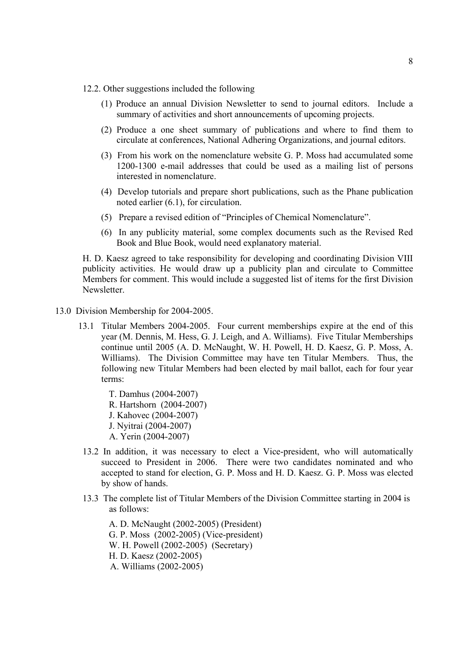- 12.2. Other suggestions included the following
	- (1) Produce an annual Division Newsletter to send to journal editors. Include a summary of activities and short announcements of upcoming projects.
	- (2) Produce a one sheet summary of publications and where to find them to circulate at conferences, National Adhering Organizations, and journal editors.
	- (3) From his work on the nomenclature website G. P. Moss had accumulated some 1200-1300 e-mail addresses that could be used as a mailing list of persons interested in nomenclature.
	- (4) Develop tutorials and prepare short publications, such as the Phane publication noted earlier (6.1), for circulation.
	- (5) Prepare a revised edition of "Principles of Chemical Nomenclature".
	- (6) In any publicity material, some complex documents such as the Revised Red Book and Blue Book, would need explanatory material.

H. D. Kaesz agreed to take responsibility for developing and coordinating Division VIII publicity activities. He would draw up a publicity plan and circulate to Committee Members for comment. This would include a suggested list of items for the first Division **Newsletter** 

- 13.0 Division Membership for 2004-2005.
	- 13.1 Titular Members 2004-2005. Four current memberships expire at the end of this year (M. Dennis, M. Hess, G. J. Leigh, and A. Williams). Five Titular Memberships continue until 2005 (A. D. McNaught, W. H. Powell, H. D. Kaesz, G. P. Moss, A. Williams). The Division Committee may have ten Titular Members. Thus, the following new Titular Members had been elected by mail ballot, each for four year terms:

 T. Damhus (2004-2007) R. Hartshorn (2004-2007) J. Kahovec (2004-2007) J. Nyitrai (2004-2007) A. Yerin (2004-2007)

- 13.2 In addition, it was necessary to elect a Vice-president, who will automatically succeed to President in 2006. There were two candidates nominated and who accepted to stand for election, G. P. Moss and H. D. Kaesz. G. P. Moss was elected by show of hands.
- 13.3 The complete list of Titular Members of the Division Committee starting in 2004 is as follows:

 A. D. McNaught (2002-2005) (President) G. P. Moss (2002-2005) (Vice-president) W. H. Powell (2002-2005) (Secretary) H. D. Kaesz (2002-2005) A. Williams (2002-2005)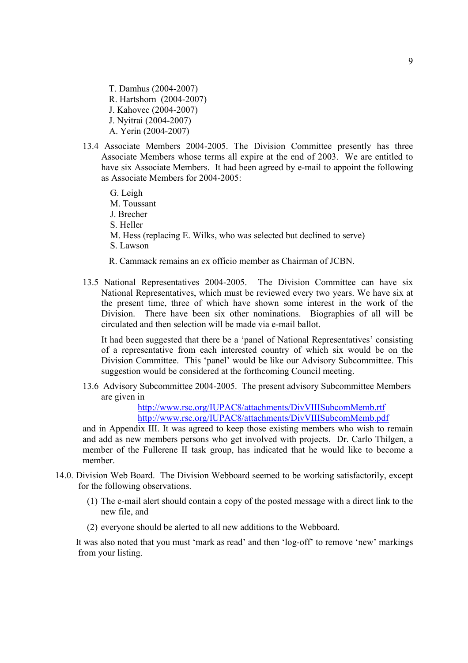T. Damhus (2004-2007) R. Hartshorn (2004-2007) J. Kahovec (2004-2007) J. Nyitrai (2004-2007) A. Yerin (2004-2007)

- 13.4 Associate Members 2004-2005. The Division Committee presently has three Associate Members whose terms all expire at the end of 2003. We are entitled to have six Associate Members. It had been agreed by e-mail to appoint the following as Associate Members for 2004-2005:
	- G. Leigh M. Toussant J. Brecher S. Heller M. Hess (replacing E. Wilks, who was selected but declined to serve) S. Lawson
	- R. Cammack remains an ex officio member as Chairman of JCBN.
- 13.5 National Representatives 2004-2005. The Division Committee can have six National Representatives, which must be reviewed every two years. We have six at the present time, three of which have shown some interest in the work of the Division. There have been six other nominations. Biographies of all will be circulated and then selection will be made via e-mail ballot.

It had been suggested that there be a 'panel of National Representatives' consisting of a representative from each interested country of which six would be on the Division Committee. This 'panel' would be like our Advisory Subcommittee. This suggestion would be considered at the forthcoming Council meeting.

13.6 Advisory Subcommittee 2004-2005. The present advisory Subcommittee Members are given in

> <http://www.rsc.org/IUPAC8/attachments/DivVIIISubcomMemb.rtf> <http://www.rsc.org/IUPAC8/attachments/DivVIIISubcomMemb.pdf>

and in Appendix III. It was agreed to keep those existing members who wish to remain and add as new members persons who get involved with projects. Dr. Carlo Thilgen, a member of the Fullerene II task group, has indicated that he would like to become a member.

- 14.0. Division Web Board. The Division Webboard seemed to be working satisfactorily, except for the following observations.
	- (1) The e-mail alert should contain a copy of the posted message with a direct link to the new file, and
	- (2) everyone should be alerted to all new additions to the Webboard.

It was also noted that you must 'mark as read' and then 'log-off' to remove 'new' markings from your listing.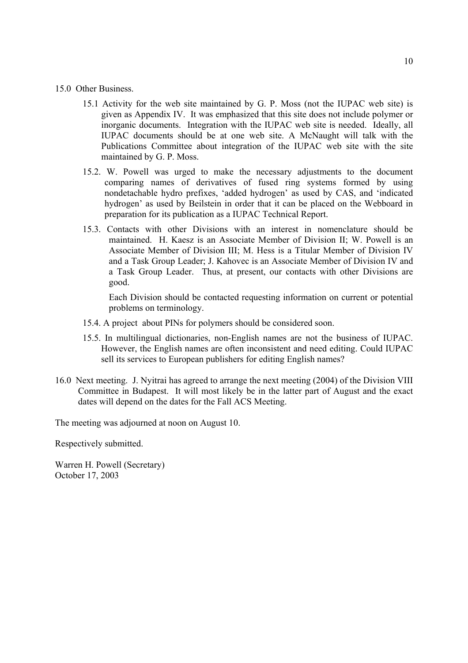### 15.0 Other Business.

- 15.1 Activity for the web site maintained by G. P. Moss (not the IUPAC web site) is given as Appendix IV. It was emphasized that this site does not include polymer or inorganic documents. Integration with the IUPAC web site is needed. Ideally, all IUPAC documents should be at one web site. A McNaught will talk with the Publications Committee about integration of the IUPAC web site with the site maintained by G. P. Moss.
- 15.2. W. Powell was urged to make the necessary adjustments to the document comparing names of derivatives of fused ring systems formed by using nondetachable hydro prefixes, 'added hydrogen' as used by CAS, and 'indicated hydrogen' as used by Beilstein in order that it can be placed on the Webboard in preparation for its publication as a IUPAC Technical Report.
- 15.3. Contacts with other Divisions with an interest in nomenclature should be maintained. H. Kaesz is an Associate Member of Division II; W. Powell is an Associate Member of Division III; M. Hess is a Titular Member of Division IV and a Task Group Leader; J. Kahovec is an Associate Member of Division IV and a Task Group Leader. Thus, at present, our contacts with other Divisions are good.

 Each Division should be contacted requesting information on current or potential problems on terminology.

- 15.4. A project about PINs for polymers should be considered soon.
- 15.5. In multilingual dictionaries, non-English names are not the business of IUPAC. However, the English names are often inconsistent and need editing. Could IUPAC sell its services to European publishers for editing English names?
- 16.0 Next meeting. J. Nyitrai has agreed to arrange the next meeting (2004) of the Division VIII Committee in Budapest. It will most likely be in the latter part of August and the exact dates will depend on the dates for the Fall ACS Meeting.

The meeting was adjourned at noon on August 10.

Respectively submitted.

Warren H. Powell (Secretary) October 17, 2003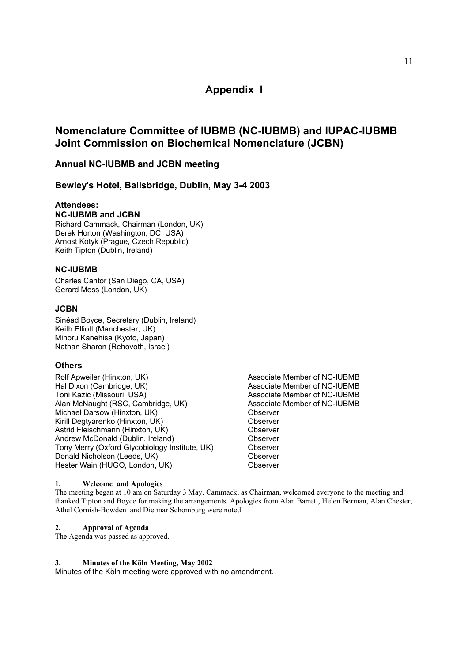# **Appendix I**

# **Nomenclature Committee of IUBMB (NC-IUBMB) and IUPAC-IUBMB Joint Commission on Biochemical Nomenclature (JCBN)**

# **Annual NC-IUBMB and JCBN meeting**

# **Bewley's Hotel, Ballsbridge, Dublin, May 3-4 2003**

# **Attendees:**

# **NC-IUBMB and JCBN**

Richard Cammack, Chairman (London, UK) Derek Horton (Washington, DC, USA) Arnost Kotyk (Prague, Czech Republic) Keith Tipton (Dublin, Ireland)

## **NC-IUBMB**

Charles Cantor (San Diego, CA, USA) Gerard Moss (London, UK)

## **JCBN**

Sinéad Boyce, Secretary (Dublin, Ireland) Keith Elliott (Manchester, UK) Minoru Kanehisa (Kyoto, Japan) Nathan Sharon (Rehovoth, Israel)

## **Others**

- Rolf Apweiler (Hinxton, UK) <br>
Hal Dixon (Cambridge, UK) Associate Member of NC-IUBMB Hal Dixon (Cambridge, UK)<br>
Toni Kazic (Missouri, USA) Associate Member of NC-IUBMB<br>
Associate Member of NC-IUBMB Alan McNaught (RSC, Cambridge, UK) Michael Darsow (Hinxton, UK) Channel Charles Conserver Kirill Degtyarenko (Hinxton, UK) Charles Conserver Astrid Fleischmann (Hinxton, UK) **Observer** Andrew McDonald (Dublin, Ireland) Observer Tony Merry (Oxford Glycobiology Institute, UK) Observer Donald Nicholson (Leeds, UK) Channel Conserver Hester Wain (HUGO, London, UK) Observer
	- Associate Member of NC-IUBMB<br>Associate Member of NC-IUBMB

### **1. Welcome and Apologies**

The meeting began at 10 am on Saturday 3 May. Cammack, as Chairman, welcomed everyone to the meeting and thanked Tipton and Boyce for making the arrangements. Apologies from Alan Barrett, Helen Berman, Alan Chester, Athel Cornish-Bowden and Dietmar Schomburg were noted.

### **2. Approval of Agenda**

The Agenda was passed as approved.

### **3. Minutes of the Köln Meeting, May 2002**

Minutes of the Köln meeting were approved with no amendment.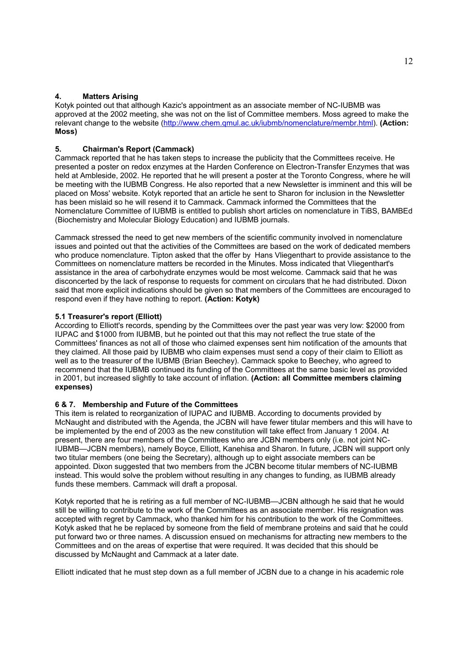# **4. Matters Arising**

Kotyk pointed out that although Kazic's appointment as an associate member of NC-IUBMB was approved at the 2002 meeting, she was not on the list of Committee members. Moss agreed to make the relevant change to the website ([http://www.chem.qmul.ac.uk/iubmb/nomenclature/membr.htm](http://www.chem.qmul.ac.uk/iubmb/nomenclature/membr.html)l). **(Action: Moss)**

# **5. Chairman's Report (Cammack)**

Cammack reported that he has taken steps to increase the publicity that the Committees receive. He presented a poster on redox enzymes at the Harden Conference on Electron-Transfer Enzymes that was held at Ambleside, 2002. He reported that he will present a poster at the Toronto Congress, where he will be meeting with the IUBMB Congress. He also reported that a new Newsletter is imminent and this will be placed on Moss' website. Kotyk reported that an article he sent to Sharon for inclusion in the Newsletter has been mislaid so he will resend it to Cammack. Cammack informed the Committees that the Nomenclature Committee of IUBMB is entitled to publish short articles on nomenclature in TiBS, BAMBEd (Biochemistry and Molecular Biology Education) and IUBMB journals.

Cammack stressed the need to get new members of the scientific community involved in nomenclature issues and pointed out that the activities of the Committees are based on the work of dedicated members who produce nomenclature. Tipton asked that the offer by Hans Vliegenthart to provide assistance to the Committees on nomenclature matters be recorded in the Minutes. Moss indicated that Vliegenthart's assistance in the area of carbohydrate enzymes would be most welcome. Cammack said that he was disconcerted by the lack of response to requests for comment on circulars that he had distributed. Dixon said that more explicit indications should be given so that members of the Committees are encouraged to respond even if they have nothing to report. **(Action: Kotyk)**

# **5.1 Treasurer's report (Elliott)**

According to Elliott's records, spending by the Committees over the past year was very low: \$2000 from IUPAC and \$1000 from IUBMB, but he pointed out that this may not reflect the true state of the Committees' finances as not all of those who claimed expenses sent him notification of the amounts that they claimed. All those paid by IUBMB who claim expenses must send a copy of their claim to Elliott as well as to the treasurer of the IUBMB (Brian Beechey). Cammack spoke to Beechey, who agreed to recommend that the IUBMB continued its funding of the Committees at the same basic level as provided in 2001, but increased slightly to take account of inflation. **(Action: all Committee members claiming expenses)**

# **6 & 7. Membership and Future of the Committees**

This item is related to reorganization of IUPAC and IUBMB. According to documents provided by McNaught and distributed with the Agenda, the JCBN will have fewer titular members and this will have to be implemented by the end of 2003 as the new constitution will take effect from January 1 2004. At present, there are four members of the Committees who are JCBN members only (i.e. not joint NC-IUBMB—JCBN members), namely Boyce, Elliott, Kanehisa and Sharon. In future, JCBN will support only two titular members (one being the Secretary), although up to eight associate members can be appointed. Dixon suggested that two members from the JCBN become titular members of NC-IUBMB instead. This would solve the problem without resulting in any changes to funding, as IUBMB already funds these members. Cammack will draft a proposal.

Kotyk reported that he is retiring as a full member of NC-IUBMB—JCBN although he said that he would still be willing to contribute to the work of the Committees as an associate member. His resignation was accepted with regret by Cammack, who thanked him for his contribution to the work of the Committees. Kotyk asked that he be replaced by someone from the field of membrane proteins and said that he could put forward two or three names. A discussion ensued on mechanisms for attracting new members to the Committees and on the areas of expertise that were required. It was decided that this should be discussed by McNaught and Cammack at a later date.

Elliott indicated that he must step down as a full member of JCBN due to a change in his academic role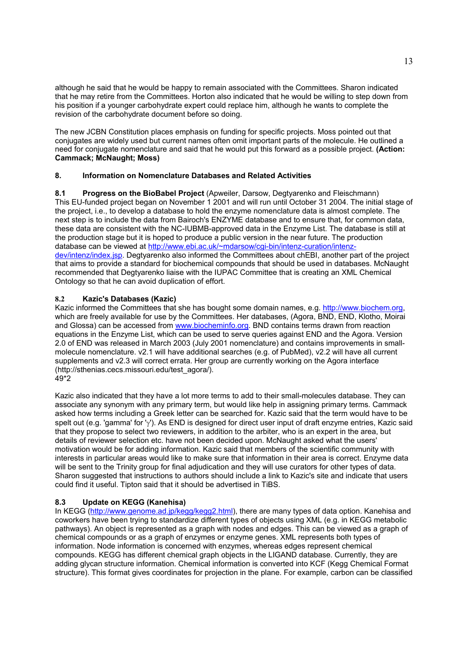although he said that he would be happy to remain associated with the Committees. Sharon indicated that he may retire from the Committees. Horton also indicated that he would be willing to step down from his position if a younger carbohydrate expert could replace him, although he wants to complete the revision of the carbohydrate document before so doing.

The new JCBN Constitution places emphasis on funding for specific projects. Moss pointed out that conjugates are widely used but current names often omit important parts of the molecule. He outlined a need for conjugate nomenclature and said that he would put this forward as a possible project. **(Action: Cammack; McNaught; Moss)** 

# **8. Information on Nomenclature Databases and Related Activities**

**8.1 Progress on the BioBabel Project** (Apweiler, Darsow, Degtyarenko and Fleischmann) This EU-funded project began on November 1 2001 and will run until October 31 2004. The initial stage of the project, i.e., to develop a database to hold the enzyme nomenclature data is almost complete. The next step is to include the data from Bairoch's ENZYME database and to ensure that, for common data, these data are consistent with the NC-IUBMB-approved data in the Enzyme List. The database is still at the production stage but it is hoped to produce a public version in the near future. The production [database can be viewed at http://www.ebi.ac.uk/~mdarsow/cgi-bin/intenz-curation/intenz](http://www.ebi.ac.uk/~mdarsow/cgi-bin/intenz-curation/intenzdev/intenz/index.jsp)dev/intenz/index.jsp. Degtyarenko also informed the Committees about chEBI, another part of the project that aims to provide a standard for biochemical compounds that should be used in databases. McNaught recommended that Degtyarenko liaise with the IUPAC Committee that is creating an XML Chemical Ontology so that he can avoid duplication of effort.

## **8.2 Kazic's Databases (Kazic)**

Kazic informed the Committees that she has bought some domain names, e.g. [http://www.biochem.org,](http://www.biochem.org)  which are freely available for use by the Committees. Her databases, (Agora, BND, END, Klotho, Moirai and Glossa) can be accessed from www.biocheminfo.org. BND contains terms drawn from reaction equations in the Enzyme List, which can be used to serve queries against END and the Agora. Version 2.0 of END was released in March 2003 (July 2001 nomenclature) and contains improvements in smallmolecule nomenclature. v2.1 will have additional searches (e.g. of PubMed), v2.2 will have all current supplements and v2.3 will correct errata. Her group are currently working on the Agora interface [\(http://sthenias.cecs.missouri.edu/test\\_agora](http://sthenias.cecs.missouri.edu/test_agora/)/).  $49*2$ 

Kazic also indicated that they have a lot more terms to add to their small-molecules database. They can associate any synonym with any primary term, but would like help in assigning primary terms. Cammack asked how terms including a Greek letter can be searched for. Kazic said that the term would have to be spelt out (e.g. 'gamma' for 'γ'). As END is designed for direct user input of draft enzyme entries, Kazic said that they propose to select two reviewers, in addition to the arbiter, who is an expert in the area, but details of reviewer selection etc. have not been decided upon. McNaught asked what the users' motivation would be for adding information. Kazic said that members of the scientific community with interests in particular areas would like to make sure that information in their area is correct. Enzyme data will be sent to the Trinity group for final adjudication and they will use curators for other types of data. Sharon suggested that instructions to authors should include a link to Kazic's site and indicate that users could find it useful. Tipton said that it should be advertised in TiBS.

# **8.3 Update on KEGG (Kanehisa)**

In KEGG ([http://www.genome.ad.jp/kegg/kegg2.htm](http://www.genome.ad.jp/kegg/kegg2.html)l), there are many types of data option. Kanehisa and coworkers have been trying to standardize different types of objects using XML (e.g. in KEGG metabolic pathways). An object is represented as a graph with nodes and edges. This can be viewed as a graph of chemical compounds or as a graph of enzymes or enzyme genes. XML represents both types of information. Node information is concerned with enzymes, whereas edges represent chemical compounds. KEGG has different chemical graph objects in the LIGAND database. Currently, they are adding glycan structure information. Chemical information is converted into KCF (Kegg Chemical Format structure). This format gives coordinates for projection in the plane. For example, carbon can be classified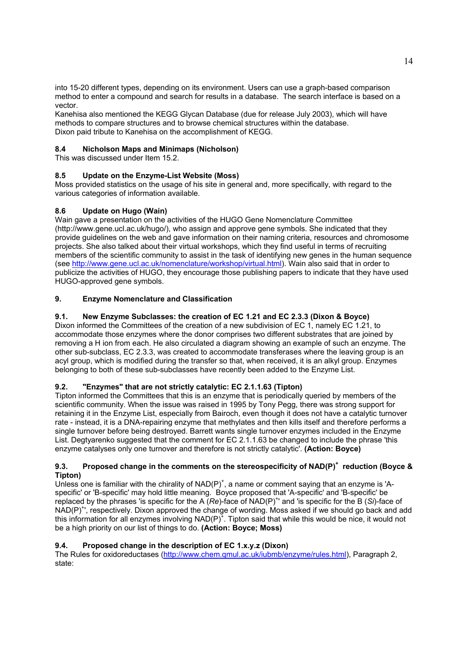into 15-20 different types, depending on its environment. Users can use a graph-based comparison method to enter a compound and search for results in a database. The search interface is based on a vector.

Kanehisa also mentioned the KEGG Glycan Database (due for release July 2003), which will have methods to compare structures and to browse chemical structures within the database. Dixon paid tribute to Kanehisa on the accomplishment of KEGG.

# **8.4 Nicholson Maps and Minimaps (Nicholson)**

This was discussed under Item 15.2.

# **8.5 Update on the Enzyme-List Website (Moss)**

Moss provided statistics on the usage of his site in general and, more specifically, with regard to the various categories of information available.

# **8.6 Update on Hugo (Wain)**

Wain gave a presentation on the activities of the HUGO Gene Nomenclature Committee [\(http://www.gene.ucl.ac.uk/hugo](http://www.gene.ucl.ac.uk/hugo/)/), who assign and approve gene symbols. She indicated that they provide guidelines on the web and gave information on their naming criteria, resources and chromosome projects. She also talked about their virtual workshops, which they find useful in terms of recruiting members of the scientific community to assist in the task of identifying new genes in the human sequence (see [http://www.gene.ucl.ac.uk/nomenclature/workshop/virtual.htm](http://www.gene.ucl.ac.uk/nomenclature/workshop/virtual.html)l). Wain also said that in order to publicize the activities of HUGO, they encourage those publishing papers to indicate that they have used HUGO-approved gene symbols.

# **9. Enzyme Nomenclature and Classification**

# **9.1. New Enzyme Subclasses: the creation of EC 1.21 and EC 2.3.3 (Dixon & Boyce)**

Dixon informed the Committees of the creation of a new subdivision of EC 1, namely EC 1.21, to accommodate those enzymes where the donor comprises two different substrates that are joined by removing a H ion from each. He also circulated a diagram showing an example of such an enzyme. The other sub-subclass, EC 2.3.3, was created to accommodate transferases where the leaving group is an acyl group, which is modified during the transfer so that, when received, it is an alkyl group. Enzymes belonging to both of these sub-subclasses have recently been added to the Enzyme List.

# **9.2. "Enzymes" that are not strictly catalytic: EC 2.1.1.63 (Tipton)**

Tipton informed the Committees that this is an enzyme that is periodically queried by members of the scientific community. When the issue was raised in 1995 by Tony Pegg, there was strong support for retaining it in the Enzyme List, especially from Bairoch, even though it does not have a catalytic turnover rate - instead, it is a DNA-repairing enzyme that methylates and then kills itself and therefore performs a single turnover before being destroyed. Barrett wants single turnover enzymes included in the Enzyme List. Degtyarenko suggested that the comment for EC 2.1.1.63 be changed to include the phrase 'this enzyme catalyses only one turnover and therefore is not strictly catalytic'. **(Action: Boyce)**

### **9.3. Proposed change in the comments on the stereospecificity of NAD(P)<sup>+</sup> reduction (Boyce & Tipton)**

Unless one is familiar with the chirality of  $NAD(P)^{+}$ , a name or comment saying that an enzyme is 'Aspecific' or 'B-specific' may hold little meaning. Boyce proposed that 'A-specific' and 'B-specific' be replaced by the phrases 'is specific for the A (Re)-face of NAD(P)<sup>+</sup>' and 'is specific for the B (Si)-face of NAD(P)<sup>+</sup>', respectively. Dixon approved the change of wording. Moss asked if we should go back and add this information for all enzymes involving  $NAD(P)^+$ . Tipton said that while this would be nice, it would not be a high priority on our list of things to do. **(Action: Boyce; Moss)**

# **9.4. Proposed change in the description of EC 1.x.y.z (Dixon)**

The Rules for oxidoreductases ([http://www.chem.qmul.ac.uk/iubmb/enzyme/rules.htm](http://www.chem.qmul.ac.uk/iubmb/enzyme/rules.html)l), Paragraph 2, state: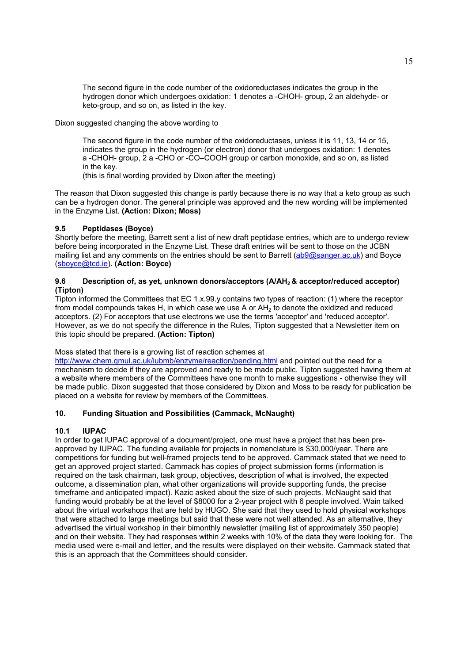The second figure in the code number of the oxidoreductases indicates the group in the hydrogen donor which undergoes oxidation: 1 denotes a -CHOH- group, 2 an aldehyde- or keto-group, and so on, as listed in the key.

Dixon suggested changing the above wording to

The second figure in the code number of the oxidoreductases, unless it is 11, 13, 14 or 15, indicates the group in the hydrogen (or electron) donor that undergoes oxidation: 1 denotes a -CHOH- group, 2 a -CHO or -CO–COOH group or carbon monoxide, and so on, as listed in the key.

(this is final wording provided by Dixon after the meeting)

The reason that Dixon suggested this change is partly because there is no way that a keto group as such can be a hydrogen donor. The general principle was approved and the new wording will be implemented in the Enzyme List. **(Action: Dixon; Moss)**

# **9.5 Peptidases (Boyce)**

Shortly before the meeting, Barrett sent a list of new draft peptidase entries, which are to undergo review before being incorporated in the Enzyme List. These draft entries will be sent to those on the JCBN mailing list and any comments on the entries should be sent to Barrett (ab9@sanger.ac.uk) and Boyce (sboyce@tcd.ie). **(Action: Boyce)** 

## 9.6 Description of, as yet, unknown donors/acceptors (A/AH<sub>2</sub> & acceptor/reduced acceptor) **(Tipton)**

Tipton informed the Committees that EC 1.x.99.y contains two types of reaction: (1) where the receptor from model compounds takes H, in which case we use A or  $AH<sub>2</sub>$  to denote the oxidized and reduced acceptors. (2) For acceptors that use electrons we use the terms 'acceptor' and 'reduced acceptor'. However, as we do not specify the difference in the Rules, Tipton suggested that a Newsletter item on this topic should be prepared. **(Action: Tipton)**

### Moss stated that there is a growing list of reaction schemes at

http://www.chem.gmul.ac.uk/jubmb/enzyme/reaction/pending.html and pointed out the need for a mechanism to decide if they are approved and ready to be made public. Tipton suggested having them at a website where members of the Committees have one month to make suggestions - otherwise they will be made public. Dixon suggested that those considered by Dixon and Moss to be ready for publication be placed on a website for review by members of the Committees.

# **10. Funding Situation and Possibilities (Cammack, McNaught)**

# **10.1 IUPAC**

In order to get IUPAC approval of a document/project, one must have a project that has been preapproved by IUPAC. The funding available for projects in nomenclature is \$30,000/year. There are competitions for funding but well-framed projects tend to be approved. Cammack stated that we need to get an approved project started. Cammack has copies of project submission forms (information is required on the task chairman, task group, objectives, description of what is involved, the expected outcome, a dissemination plan, what other organizations will provide supporting funds, the precise timeframe and anticipated impact). Kazic asked about the size of such projects. McNaught said that funding would probably be at the level of \$8000 for a 2-year project with 6 people involved. Wain talked about the virtual workshops that are held by HUGO. She said that they used to hold physical workshops that were attached to large meetings but said that these were not well attended. As an alternative, they advertised the virtual workshop in their bimonthly newsletter (mailing list of approximately 350 people) and on their website. They had responses within 2 weeks with 10% of the data they were looking for. The media used were e-mail and letter, and the results were displayed on their website. Cammack stated that this is an approach that the Committees should consider.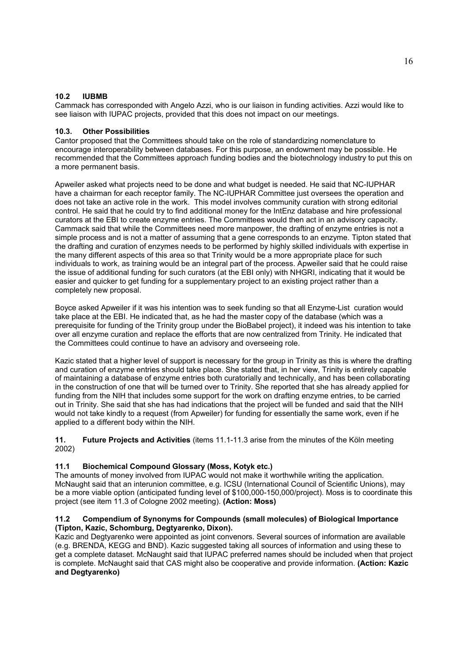## **10.2 IUBMB**

Cammack has corresponded with Angelo Azzi, who is our liaison in funding activities. Azzi would like to see liaison with IUPAC projects, provided that this does not impact on our meetings.

# **10.3. Other Possibilities**

Cantor proposed that the Committees should take on the role of standardizing nomenclature to encourage interoperability between databases. For this purpose, an endowment may be possible. He recommended that the Committees approach funding bodies and the biotechnology industry to put this on a more permanent basis.

Apweiler asked what projects need to be done and what budget is needed. He said that NC-IUPHAR have a chairman for each receptor family. The NC-IUPHAR Committee just oversees the operation and does not take an active role in the work. This model involves community curation with strong editorial control. He said that he could try to find additional money for the IntEnz database and hire professional curators at the EBI to create enzyme entries. The Committees would then act in an advisory capacity. Cammack said that while the Committees need more manpower, the drafting of enzyme entries is not a simple process and is not a matter of assuming that a gene corresponds to an enzyme. Tipton stated that the drafting and curation of enzymes needs to be performed by highly skilled individuals with expertise in the many different aspects of this area so that Trinity would be a more appropriate place for such individuals to work, as training would be an integral part of the process. Apweiler said that he could raise the issue of additional funding for such curators (at the EBI only) with NHGRI, indicating that it would be easier and quicker to get funding for a supplementary project to an existing project rather than a completely new proposal.

Boyce asked Apweiler if it was his intention was to seek funding so that all Enzyme-List curation would take place at the EBI. He indicated that, as he had the master copy of the database (which was a prerequisite for funding of the Trinity group under the BioBabel project), it indeed was his intention to take over all enzyme curation and replace the efforts that are now centralized from Trinity. He indicated that the Committees could continue to have an advisory and overseeing role.

Kazic stated that a higher level of support is necessary for the group in Trinity as this is where the drafting and curation of enzyme entries should take place. She stated that, in her view, Trinity is entirely capable of maintaining a database of enzyme entries both curatorially and technically, and has been collaborating in the construction of one that will be turned over to Trinity. She reported that she has already applied for funding from the NIH that includes some support for the work on drafting enzyme entries, to be carried out in Trinity. She said that she has had indications that the project will be funded and said that the NIH would not take kindly to a request (from Apweiler) for funding for essentially the same work, even if he applied to a different body within the NIH.

**11. Future Projects and Activities** (items 11.1-11.3 arise from the minutes of the Köln meeting 2002)

### **11.1 Biochemical Compound Glossary (Moss, Kotyk etc.)**

The amounts of money involved from IUPAC would not make it worthwhile writing the application. McNaught said that an interunion committee, e.g. ICSU (International Council of Scientific Unions), may be a more viable option (anticipated funding level of \$100,000-150,000/project). Moss is to coordinate this project (see item 11.3 of Cologne 2002 meeting). **(Action: Moss)**

### **11.2 Compendium of Synonyms for Compounds (small molecules) of Biological Importance (Tipton, Kazic, Schomburg, Degtyarenko, Dixon).**

Kazic and Degtyarenko were appointed as joint convenors. Several sources of information are available (e.g. BRENDA, KEGG and BND). Kazic suggested taking all sources of information and using these to get a complete dataset. McNaught said that IUPAC preferred names should be included when that project is complete. McNaught said that CAS might also be cooperative and provide information. **(Action: Kazic and Degtyarenko)**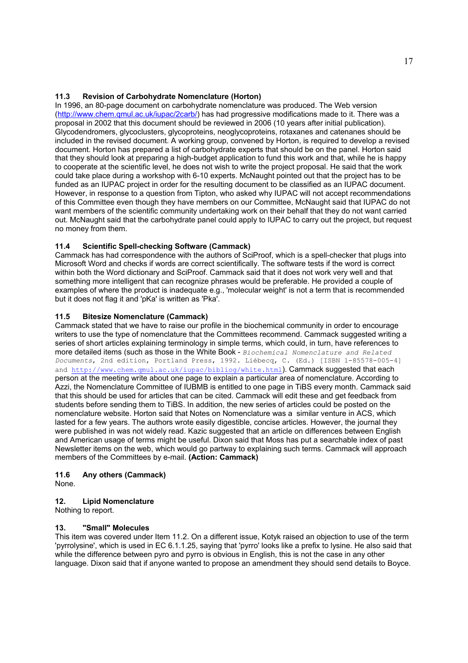## **11.3 Revision of Carbohydrate Nomenclature (Horton)**

In 1996, an 80-page document on carbohydrate nomenclature was produced. The Web version [\(http://www.chem.qmul.ac.uk/iupac/2carb/\)](http://www.chem.qmul.ac.uk/iupac/2carb/) has had progressive modifications made to it. There was a proposal in 2002 that this document should be reviewed in 2006 (10 years after initial publication). Glycodendromers, glycoclusters, glycoproteins, neoglycoproteins, rotaxanes and catenanes should be included in the revised document. A working group, convened by Horton, is required to develop a revised document. Horton has prepared a list of carbohydrate experts that should be on the panel. Horton said that they should look at preparing a high-budget application to fund this work and that, while he is happy to cooperate at the scientific level, he does not wish to write the project proposal. He said that the work could take place during a workshop with 6-10 experts. McNaught pointed out that the project has to be funded as an IUPAC project in order for the resulting document to be classified as an IUPAC document. However, in response to a question from Tipton, who asked why IUPAC will not accept recommendations of this Committee even though they have members on our Committee, McNaught said that IUPAC do not want members of the scientific community undertaking work on their behalf that they do not want carried out. McNaught said that the carbohydrate panel could apply to IUPAC to carry out the project, but request no money from them.

# **11.4 Scientific Spell-checking Software (Cammack)**

Cammack has had correspondence with the authors of SciProof, which is a spell-checker that plugs into Microsoft Word and checks if words are correct scientifically. The software tests if the word is correct within both the Word dictionary and SciProof. Cammack said that it does not work very well and that something more intelligent that can recognize phrases would be preferable. He provided a couple of examples of where the product is inadequate e.g., 'molecular weight' is not a term that is recommended but it does not flag it and 'pKa' is written as 'Pka'.

## **11.5 Bitesize Nomenclature (Cammack)**

Cammack stated that we have to raise our profile in the biochemical community in order to encourage writers to use the type of nomenclature that the Committees recommend. Cammack suggested writing a series of short articles explaining terminology in simple terms, which could, in turn, have references to more detailed items (such as those in the White Book - *Biochemical Nomenclature and Related Documents*, 2nd edition, Portland Press, 1992. Liébecq, C. (Ed.) [ISBN 1-85578-005-4] and<http://www.chem.qmul.ac.uk/iupac/bibliog/white.html>). Cammack suggested that each person at the meeting write about one page to explain a particular area of nomenclature. According to Azzi, the Nomenclature Committee of IUBMB is entitled to one page in TiBS every month. Cammack said that this should be used for articles that can be cited. Cammack will edit these and get feedback from students before sending them to TiBS. In addition, the new series of articles could be posted on the nomenclature website. Horton said that Notes on Nomenclature was a similar venture in ACS, which lasted for a few years. The authors wrote easily digestible, concise articles. However, the journal they were published in was not widely read. Kazic suggested that an article on differences between English and American usage of terms might be useful. Dixon said that Moss has put a searchable index of past Newsletter items on the web, which would go partway to explaining such terms. Cammack will approach members of the Committees by e-mail. **(Action: Cammack)**

### **11.6 Any others (Cammack)**

None.

### **12. Lipid Nomenclature**

Nothing to report.

### **13. "Small" Molecules**

This item was covered under Item 11.2. On a different issue, Kotyk raised an objection to use of the term 'pyrrolysine', which is used in EC 6.1.1.25, saying that 'pyrro' looks like a prefix to lysine. He also said that while the difference between pyro and pyrro is obvious in English, this is not the case in any other language. Dixon said that if anyone wanted to propose an amendment they should send details to Boyce.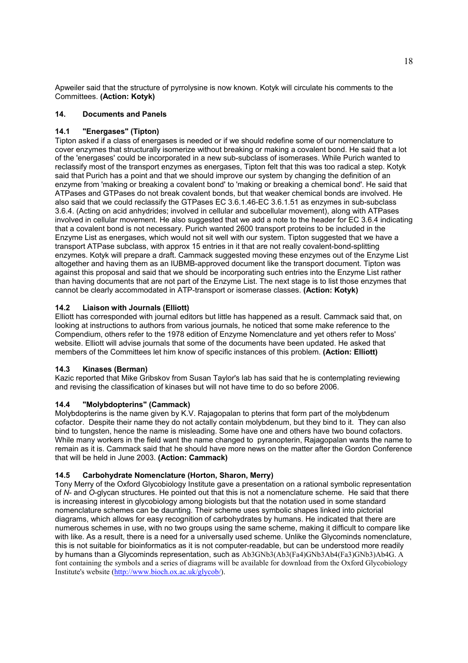Apweiler said that the structure of pyrrolysine is now known. Kotyk will circulate his comments to the Committees. **(Action: Kotyk)** 

## **14. Documents and Panels**

## **14.1 "Energases" (Tipton)**

Tipton asked if a class of energases is needed or if we should redefine some of our nomenclature to cover enzymes that structurally isomerize without breaking or making a covalent bond. He said that a lot of the 'energases' could be incorporated in a new sub-subclass of isomerases. While Purich wanted to reclassify most of the transport enzymes as energases, Tipton felt that this was too radical a step. Kotyk said that Purich has a point and that we should improve our system by changing the definition of an enzyme from 'making or breaking a covalent bond' to 'making or breaking a chemical bond'. He said that ATPases and GTPases do not break covalent bonds, but that weaker chemical bonds are involved. He also said that we could reclassify the GTPases EC 3.6.1.46-EC 3.6.1.51 as enzymes in sub-subclass 3.6.4. (Acting on acid anhydrides; involved in cellular and subcellular movement), along with ATPases involved in cellular movement. He also suggested that we add a note to the header for EC 3.6.4 indicating that a covalent bond is not necessary. Purich wanted 2600 transport proteins to be included in the Enzyme List as energases, which would not sit well with our system. Tipton suggested that we have a transport ATPase subclass, with approx 15 entries in it that are not really covalent-bond-splitting enzymes. Kotyk will prepare a draft. Cammack suggested moving these enzymes out of the Enzyme List altogether and having them as an IUBMB-approved document like the transport document. Tipton was against this proposal and said that we should be incorporating such entries into the Enzyme List rather than having documents that are not part of the Enzyme List. The next stage is to list those enzymes that cannot be clearly accommodated in ATP-transport or isomerase classes. **(Action: Kotyk)**

## **14.2 Liaison with Journals (Elliott)**

Elliott has corresponded with journal editors but little has happened as a result. Cammack said that, on looking at instructions to authors from various journals, he noticed that some make reference to the Compendium, others refer to the 1978 edition of Enzyme Nomenclature and yet others refer to Moss' website. Elliott will advise journals that some of the documents have been updated. He asked that members of the Committees let him know of specific instances of this problem. **(Action: Elliott)**

### **14.3 Kinases (Berman)**

Kazic reported that Mike Gribskov from Susan Taylor's lab has said that he is contemplating reviewing and revising the classification of kinases but will not have time to do so before 2006.

# **14.4 "Molybdopterins" (Cammack)**

Molybdopterins is the name given by K.V. Rajagopalan to pterins that form part of the molybdenum cofactor. Despite their name they do not actally contain molybdenum, but they bind to it. They can also bind to tungsten, hence the name is misleading. Some have one and others have two bound cofactors. While many workers in the field want the name changed to pyranopterin, Rajagopalan wants the name to remain as it is. Cammack said that he should have more news on the matter after the Gordon Conference that will be held in June 2003. **(Action: Cammack)**

### **14.5 Carbohydrate Nomenclature (Horton, Sharon, Merry)**

Tony Merry of the Oxford Glycobiology Institute gave a presentation on a rational symbolic representation of *N*- and *O*-glycan structures. He pointed out that this is not a nomenclature scheme. He said that there is increasing interest in glycobiology among biologists but that the notation used in some standard nomenclature schemes can be daunting. Their scheme uses symbolic shapes linked into pictorial diagrams, which allows for easy recognition of carbohydrates by humans. He indicated that there are numerous schemes in use, with no two groups using the same scheme, making it difficult to compare like with like. As a result, there is a need for a universally used scheme. Unlike the Glycominds nomenclature, this is not suitable for bioinformatics as it is not computer-readable, but can be understood more readily by humans than a Glycominds representation, such as Ab3GNb3(Ab3(Fa4)GNb3Ab4(Fa3)GNb3)Ab4G. A font containing the symbols and a series of diagrams will be available for download from the Oxford Glycobiology Institute's website [\(http://www.bioch.ox.ac.uk/glycob](http://www.bioch.ox.ac.uk/glycob/)/).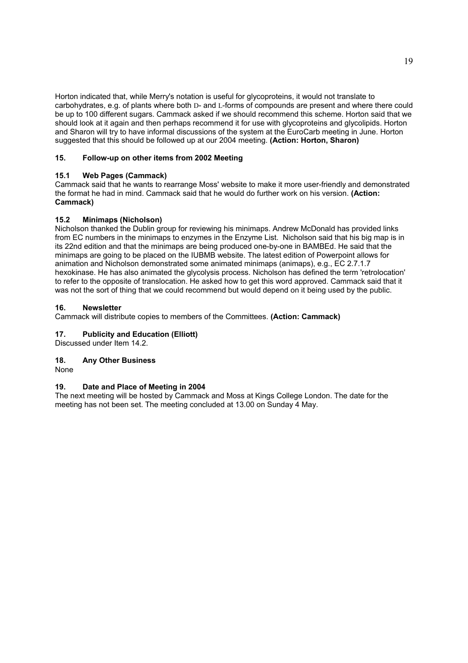Horton indicated that, while Merry's notation is useful for glycoproteins, it would not translate to carbohydrates, e.g. of plants where both D- and L-forms of compounds are present and where there could be up to 100 different sugars. Cammack asked if we should recommend this scheme. Horton said that we should look at it again and then perhaps recommend it for use with glycoproteins and glycolipids. Horton and Sharon will try to have informal discussions of the system at the EuroCarb meeting in June. Horton suggested that this should be followed up at our 2004 meeting. **(Action: Horton, Sharon)**

# **15. Follow-up on other items from 2002 Meeting**

# **15.1 Web Pages (Cammack)**

Cammack said that he wants to rearrange Moss' website to make it more user-friendly and demonstrated the format he had in mind. Cammack said that he would do further work on his version. **(Action: Cammack)**

## **15.2 Minimaps (Nicholson)**

Nicholson thanked the Dublin group for reviewing his minimaps. Andrew McDonald has provided links from EC numbers in the minimaps to enzymes in the Enzyme List. Nicholson said that his big map is in its 22nd edition and that the minimaps are being produced one-by-one in BAMBEd. He said that the minimaps are going to be placed on the IUBMB website. The latest edition of Powerpoint allows for animation and Nicholson demonstrated some animated minimaps (animaps), e.g., EC 2.7.1.7 hexokinase. He has also animated the glycolysis process. Nicholson has defined the term 'retrolocation' to refer to the opposite of translocation. He asked how to get this word approved. Cammack said that it was not the sort of thing that we could recommend but would depend on it being used by the public.

## **16. Newsletter**

Cammack will distribute copies to members of the Committees. **(Action: Cammack)**

# **17. Publicity and Education (Elliott)**

Discussed under Item 14.2.

# **18. Any Other Business**

None

### **19. Date and Place of Meeting in 2004**

The next meeting will be hosted by Cammack and Moss at Kings College London. The date for the meeting has not been set. The meeting concluded at 13.00 on Sunday 4 May.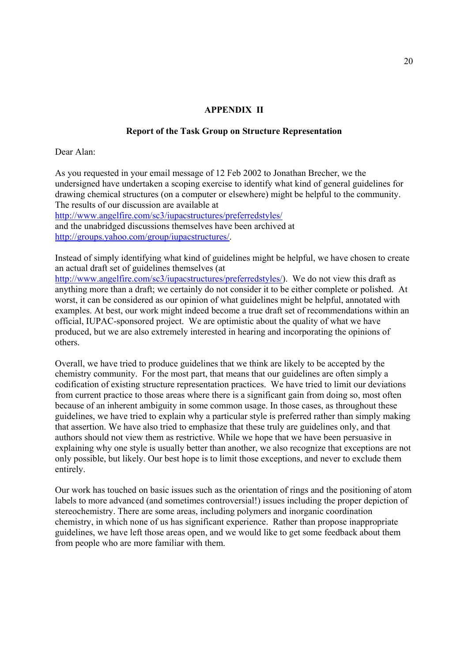# **APPENDIX II**

# **Report of the Task Group on Structure Representation**

Dear Alan:

As you requested in your email message of 12 Feb 2002 to Jonathan Brecher, we the undersigned have undertaken a scoping exercise to identify what kind of general guidelines for drawing chemical structures (on a computer or elsewhere) might be helpful to the community. The results of our discussion are available at

<http://www.angelfire.com/sc3/iupacstructures/preferredstyles/>

and the unabridged discussions themselves have been archived at [http://groups.yahoo.com/group/iupacstructures/.](http://groups.yahoo.com/group/iupacstructures/) 

Instead of simply identifying what kind of guidelines might be helpful, we have chosen to create an actual draft set of guidelines themselves (at

[http://www.angelfire.com/sc3/iupacstructures/preferredstyles](http://www.angelfire.com/sc3/iupacstructures/preferredstyles/)/). We do not view this draft as anything more than a draft; we certainly do not consider it to be either complete or polished. At worst, it can be considered as our opinion of what guidelines might be helpful, annotated with examples. At best, our work might indeed become a true draft set of recommendations within an official, IUPAC-sponsored project. We are optimistic about the quality of what we have produced, but we are also extremely interested in hearing and incorporating the opinions of others.

Overall, we have tried to produce guidelines that we think are likely to be accepted by the chemistry community. For the most part, that means that our guidelines are often simply a codification of existing structure representation practices. We have tried to limit our deviations from current practice to those areas where there is a significant gain from doing so, most often because of an inherent ambiguity in some common usage. In those cases, as throughout these guidelines, we have tried to explain why a particular style is preferred rather than simply making that assertion. We have also tried to emphasize that these truly are guidelines only, and that authors should not view them as restrictive. While we hope that we have been persuasive in explaining why one style is usually better than another, we also recognize that exceptions are not only possible, but likely. Our best hope is to limit those exceptions, and never to exclude them entirely.

Our work has touched on basic issues such as the orientation of rings and the positioning of atom labels to more advanced (and sometimes controversial!) issues including the proper depiction of stereochemistry. There are some areas, including polymers and inorganic coordination chemistry, in which none of us has significant experience. Rather than propose inappropriate guidelines, we have left those areas open, and we would like to get some feedback about them from people who are more familiar with them.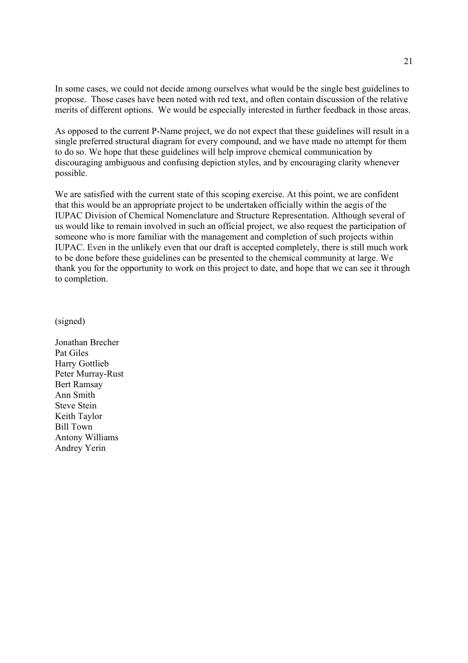In some cases, we could not decide among ourselves what would be the single best guidelines to propose. Those cases have been noted with red text, and often contain discussion of the relative merits of different options. We would be especially interested in further feedback in those areas.

As opposed to the current P-Name project, we do not expect that these guidelines will result in a single preferred structural diagram for every compound, and we have made no attempt for them to do so. We hope that these guidelines will help improve chemical communication by discouraging ambiguous and confusing depiction styles, and by encouraging clarity whenever possible.

We are satisfied with the current state of this scoping exercise. At this point, we are confident that this would be an appropriate project to be undertaken officially within the aegis of the IUPAC Division of Chemical Nomenclature and Structure Representation. Although several of us would like to remain involved in such an official project, we also request the participation of someone who is more familiar with the management and completion of such projects within IUPAC. Even in the unlikely even that our draft is accepted completely, there is still much work to be done before these guidelines can be presented to the chemical community at large. We thank you for the opportunity to work on this project to date, and hope that we can see it through to completion.

(signed)

Jonathan Brecher Pat Giles Harry Gottlieb Peter Murray-Rust Bert Ramsay Ann Smith Steve Stein Keith Taylor Bill Town Antony Williams Andrey Yerin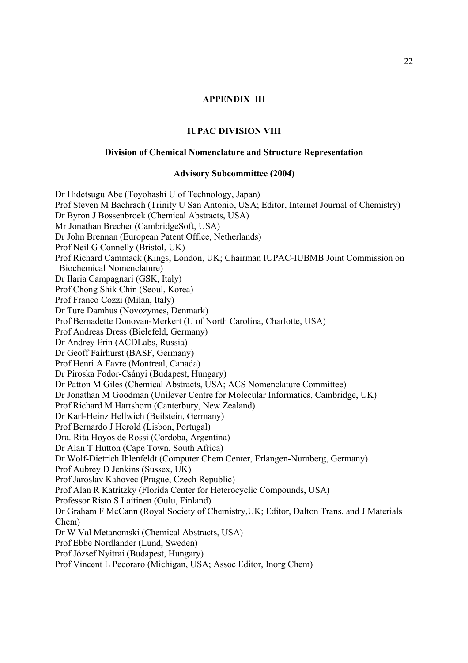# **APPENDIX III**

## **IUPAC DIVISION VIII**

### **Division of Chemical Nomenclature and Structure Representation**

### **Advisory Subcommittee (2004)**

Dr Hidetsugu Abe (Toyohashi U of Technology, Japan) Prof Steven M Bachrach (Trinity U San Antonio, USA; Editor, Internet Journal of Chemistry) Dr Byron J Bossenbroek (Chemical Abstracts, USA) Mr Jonathan Brecher (CambridgeSoft, USA) Dr John Brennan (European Patent Office, Netherlands) Prof Neil G Connelly (Bristol, UK) Prof Richard Cammack (Kings, London, UK; Chairman IUPAC-IUBMB Joint Commission on Biochemical Nomenclature) Dr Ilaria Campagnari (GSK, Italy) Prof Chong Shik Chin (Seoul, Korea) Prof Franco Cozzi (Milan, Italy) Dr Ture Damhus (Novozymes, Denmark) Prof Bernadette Donovan-Merkert (U of North Carolina, Charlotte, USA) Prof Andreas Dress (Bielefeld, Germany) Dr Andrey Erin (ACDLabs, Russia) Dr Geoff Fairhurst (BASF, Germany) Prof Henri A Favre (Montreal, Canada) Dr Piroska Fodor-Csányi (Budapest, Hungary) Dr Patton M Giles (Chemical Abstracts, USA; ACS Nomenclature Committee) Dr Jonathan M Goodman (Unilever Centre for Molecular Informatics, Cambridge, UK) Prof Richard M Hartshorn (Canterbury, New Zealand) Dr Karl-Heinz Hellwich (Beilstein, Germany) Prof Bernardo J Herold (Lisbon, Portugal) Dra. Rita Hoyos de Rossi (Cordoba, Argentina) Dr Alan T Hutton (Cape Town, South Africa) Dr Wolf-Dietrich Ihlenfeldt (Computer Chem Center, Erlangen-Nurnberg, Germany) Prof Aubrey D Jenkins (Sussex, UK) Prof Jaroslav Kahovec (Prague, Czech Republic) Prof Alan R Katritzky (Florida Center for Heterocyclic Compounds, USA) Professor Risto S Laitinen (Oulu, Finland) Dr Graham F McCann (Royal Society of Chemistry,UK; Editor, Dalton Trans. and J Materials Chem) Dr W Val Metanomski (Chemical Abstracts, USA) Prof Ebbe Nordlander (Lund, Sweden) Prof József Nyitrai (Budapest, Hungary) Prof Vincent L Pecoraro (Michigan, USA; Assoc Editor, Inorg Chem)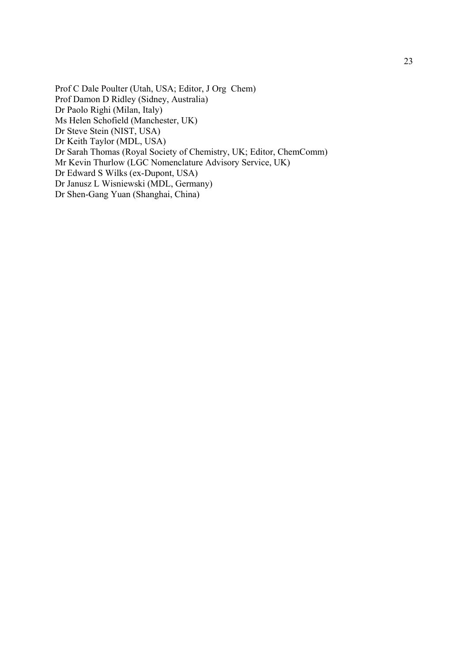Prof C Dale Poulter (Utah, USA; Editor, J Org Chem) Prof Damon D Ridley (Sidney, Australia) Dr Paolo Righi (Milan, Italy) Ms Helen Schofield (Manchester, UK) Dr Steve Stein (NIST, USA) Dr Keith Taylor (MDL, USA) Dr Sarah Thomas (Royal Society of Chemistry, UK; Editor, ChemComm) Mr Kevin Thurlow (LGC Nomenclature Advisory Service, UK) Dr Edward S Wilks (ex-Dupont, USA) Dr Janusz L Wisniewski (MDL, Germany) Dr Shen-Gang Yuan (Shanghai, China)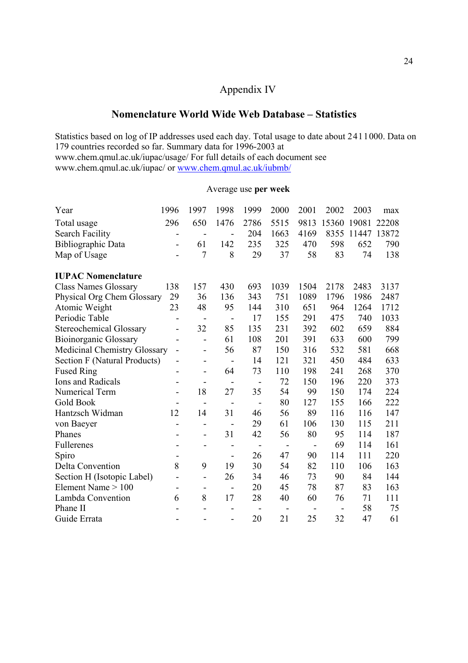# Appendix IV

# **Nomenclature World Wide Web Database – Statistics**

Statistics based on log of IP addresses used each day. Total usage to date about 2411000. Data on 179 countries recorded so far. Summary data for 1996-2003 at www.chem.qmul.ac.uk/iupac/usage/ For full details of each document see www.chem.qmul.ac.uk/iupac/ or www.chem.qmul.ac.uk/iubmb/

# Average use **per week**

| Year                                | 1996                     | 1997                     | 1998                     | 1999                     | 2000 | 2001                     | 2002  | 2003  | max   |
|-------------------------------------|--------------------------|--------------------------|--------------------------|--------------------------|------|--------------------------|-------|-------|-------|
| Total usage                         | 296                      | 650                      | 1476                     | 2786                     | 5515 | 9813                     | 15360 | 19081 | 22208 |
| <b>Search Facility</b>              | $\overline{\phantom{0}}$ | $\overline{\phantom{a}}$ | $\overline{\phantom{0}}$ | 204                      | 1663 | 4169                     | 8355  | 11447 | 13872 |
| Bibliographic Data                  | -                        | 61                       | 142                      | 235                      | 325  | 470                      | 598   | 652   | 790   |
| Map of Usage                        |                          | 7                        | 8                        | 29                       | 37   | 58                       | 83    | 74    | 138   |
| <b>IUPAC Nomenclature</b>           |                          |                          |                          |                          |      |                          |       |       |       |
| <b>Class Names Glossary</b>         | 138                      | 157                      | 430                      | 693                      | 1039 | 1504                     | 2178  | 2483  | 3137  |
| Physical Org Chem Glossary          | 29                       | 36                       | 136                      | 343                      | 751  | 1089                     | 1796  | 1986  | 2487  |
| Atomic Weight                       | 23                       | 48                       | 95                       | 144                      | 310  | 651                      | 964   | 1264  | 1712  |
| Periodic Table                      |                          | $\overline{\phantom{a}}$ | $\qquad \qquad -$        | 17                       | 155  | 291                      | 475   | 740   | 1033  |
| <b>Stereochemical Glossary</b>      | -                        | 32                       | 85                       | 135                      | 231  | 392                      | 602   | 659   | 884   |
| <b>Bioinorganic Glossary</b>        | $\overline{\phantom{0}}$ | $\overline{\phantom{a}}$ | 61                       | 108                      | 201  | 391                      | 633   | 600   | 799   |
| <b>Medicinal Chemistry Glossary</b> |                          | $\qquad \qquad -$        | 56                       | 87                       | 150  | 316                      | 532   | 581   | 668   |
| Section F (Natural Products)        | -                        | $\overline{\phantom{a}}$ | $\overline{\phantom{a}}$ | 14                       | 121  | 321                      | 450   | 484   | 633   |
| <b>Fused Ring</b>                   |                          | $\overline{\phantom{a}}$ | 64                       | 73                       | 110  | 198                      | 241   | 268   | 370   |
| Ions and Radicals                   |                          | $\overline{\phantom{a}}$ | $\qquad \qquad -$        | $\overline{\phantom{a}}$ | 72   | 150                      | 196   | 220   | 373   |
| Numerical Term                      | $\overline{\phantom{a}}$ | 18                       | 27                       | 35                       | 54   | 99                       | 150   | 174   | 224   |
| <b>Gold Book</b>                    | $\overline{\phantom{a}}$ | $\overline{\phantom{a}}$ | $\overline{\phantom{a}}$ | $\blacksquare$           | 80   | 127                      | 155   | 166   | 222   |
| Hantzsch Widman                     | 12                       | 14                       | 31                       | 46                       | 56   | 89                       | 116   | 116   | 147   |
| von Baeyer                          |                          | $\overline{\phantom{a}}$ | $\overline{a}$           | 29                       | 61   | 106                      | 130   | 115   | 211   |
| Phanes                              |                          | $\qquad \qquad -$        | 31                       | 42                       | 56   | 80                       | 95    | 114   | 187   |
| Fullerenes                          |                          |                          | $\overline{\phantom{a}}$ |                          |      | $\overline{\phantom{0}}$ | 69    | 114   | 161   |
| Spiro                               |                          |                          | $\overline{\phantom{a}}$ | 26                       | 47   | 90                       | 114   | 111   | 220   |
| Delta Convention                    | 8                        | 9                        | 19                       | 30                       | 54   | 82                       | 110   | 106   | 163   |
| Section H (Isotopic Label)          |                          | $\qquad \qquad -$        | 26                       | 34                       | 46   | 73                       | 90    | 84    | 144   |
| Element Name $> 100$                | $\overline{\phantom{0}}$ | $\overline{\phantom{a}}$ | $\qquad \qquad -$        | 20                       | 45   | 78                       | 87    | 83    | 163   |
| Lambda Convention                   | 6                        | 8                        | 17                       | 28                       | 40   | 60                       | 76    | 71    | 111   |
| Phane II                            |                          |                          |                          |                          |      |                          |       | 58    | 75    |
| Guide Errata                        |                          |                          | $\overline{\phantom{0}}$ | 20                       | 21   | 25                       | 32    | 47    | 61    |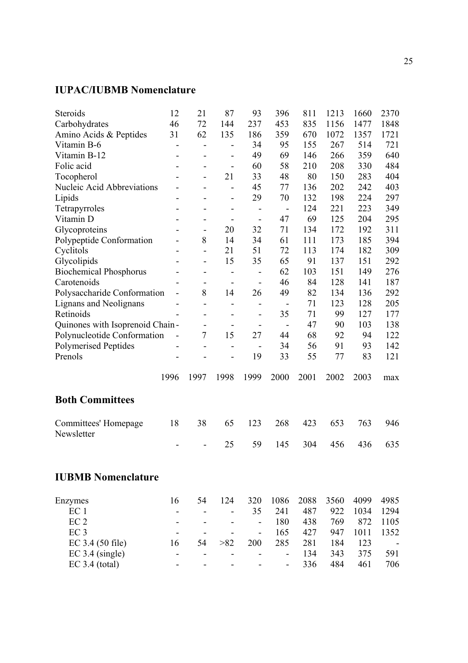# **IUPAC/IUBMB Nomenclature**

| Steroids                        | 12                       | 21                           | 87                           | 93                           | 396                          | 811  | 1213 | 1660 | 2370 |
|---------------------------------|--------------------------|------------------------------|------------------------------|------------------------------|------------------------------|------|------|------|------|
| Carbohydrates                   | 46                       | 72                           | 144                          | 237                          | 453                          | 835  | 1156 | 1477 | 1848 |
| Amino Acids & Peptides          | 31                       | 62                           | 135                          | 186                          | 359                          | 670  | 1072 | 1357 | 1721 |
| Vitamin B-6                     | -                        | $\qquad \qquad \blacksquare$ |                              | 34                           | 95                           | 155  | 267  | 514  | 721  |
| Vitamin B-12                    | $\overline{\phantom{0}}$ | $\qquad \qquad \blacksquare$ |                              | 49                           | 69                           | 146  | 266  | 359  | 640  |
| Folic acid                      |                          | $\overline{\phantom{a}}$     | $\overline{\phantom{0}}$     | 60                           | 58                           | 210  | 208  | 330  | 484  |
| Tocopherol                      |                          | $\overline{\phantom{a}}$     | 21                           | 33                           | 48                           | 80   | 150  | 283  | 404  |
| Nucleic Acid Abbreviations      |                          |                              |                              | 45                           | 77                           | 136  | 202  | 242  | 403  |
| Lipids                          |                          | $\qquad \qquad$              | $\overline{\phantom{0}}$     | 29                           | 70                           | 132  | 198  | 224  | 297  |
| Tetrapyrroles                   |                          |                              | $\overline{\phantom{a}}$     | $\qquad \qquad -$            | $\overline{a}$               | 124  | 221  | 223  | 349  |
| Vitamin D                       |                          |                              |                              | $\overline{\phantom{a}}$     | 47                           | 69   | 125  | 204  | 295  |
| Glycoproteins                   |                          | $\qquad \qquad -$            | 20                           | 32                           | 71                           | 134  | 172  | 192  | 311  |
| Polypeptide Conformation        |                          | 8                            | 14                           | 34                           | 61                           | 111  | 173  | 185  | 394  |
| Cyclitols                       |                          | $\overline{\phantom{0}}$     | 21                           | 51                           | 72                           | 113  | 174  | 182  | 309  |
| Glycolipids                     |                          | $\overline{\phantom{a}}$     | 15                           | 35                           | 65                           | 91   | 137  | 151  | 292  |
| <b>Biochemical Phosphorus</b>   |                          | $\qquad \qquad \blacksquare$ | $\qquad \qquad \blacksquare$ | $\qquad \qquad \blacksquare$ | 62                           | 103  | 151  | 149  | 276  |
| Carotenoids                     |                          | $\qquad \qquad \blacksquare$ | $\overline{\phantom{a}}$     | $\overline{\phantom{a}}$     | 46                           | 84   | 128  | 141  | 187  |
| Polysaccharide Conformation     | -                        | 8                            | 14                           | 26                           | 49                           | 82   | 134  | 136  | 292  |
| Lignans and Neolignans          | -                        | $\overline{\phantom{0}}$     | $\overline{\phantom{0}}$     | $\qquad \qquad \blacksquare$ | $\overline{\phantom{0}}$     | 71   | 123  | 128  | 205  |
| Retinoids                       |                          | $\overline{a}$               | $\overline{\phantom{a}}$     | $\overline{\phantom{a}}$     | 35                           | 71   | 99   | 127  | 177  |
| Quinones with Isoprenoid Chain- |                          | $\overline{\phantom{0}}$     | -                            | $\qquad \qquad \blacksquare$ | $\qquad \qquad -$            | 47   | 90   | 103  | 138  |
| Polynucleotide Conformation     | -                        | 7                            | 15                           | 27                           | 44                           | 68   | 92   | 94   | 122  |
| Polymerised Peptides            |                          | $\overline{a}$               | -                            | $\qquad \qquad -$            | 34                           | 56   | 91   | 93   | 142  |
| Prenols                         |                          |                              |                              | 19                           | 33                           | 55   | 77   | 83   | 121  |
|                                 | 1996                     | 1997                         | 1998                         | 1999                         | 2000                         | 2001 | 2002 | 2003 | max  |
| <b>Both Committees</b>          |                          |                              |                              |                              |                              |      |      |      |      |
| Committees' Homepage            | 18                       | 38                           | 65                           | 123                          | 268                          | 423  | 653  | 763  | 946  |
| Newsletter                      |                          |                              |                              |                              |                              |      |      |      |      |
|                                 |                          |                              | 25                           | 59                           | 145                          | 304  | 456  | 436  | 635  |
| <b>IUBMB Nomenclature</b>       |                          |                              |                              |                              |                              |      |      |      |      |
|                                 |                          |                              |                              |                              |                              |      |      |      |      |
| Enzymes                         | 16                       | 54                           | 124                          | 320                          | 1086                         | 2088 | 3560 | 4099 | 4985 |
| EC <sub>1</sub>                 |                          |                              |                              | 35                           | 241                          | 487  | 922  | 1034 | 1294 |
| EC <sub>2</sub>                 |                          |                              |                              | $\qquad \qquad -$            | 180                          | 438  | 769  | 872  | 1105 |
| EC <sub>3</sub>                 |                          |                              |                              | $\overline{\phantom{a}}$     | 165                          | 427  | 947  | 1011 | 1352 |
| EC 3.4 (50 file)                | 16                       | 54                           | >82                          | 200                          | 285                          | 281  | 184  | 123  |      |
| $EC$ 3.4 (single)               | -                        |                              |                              | $\overline{\phantom{a}}$     | $\qquad \qquad \blacksquare$ | 134  | 343  | 375  | 591  |
| $EC$ 3.4 (total)                |                          |                              |                              |                              | $\qquad \qquad \blacksquare$ | 336  | 484  | 461  | 706  |